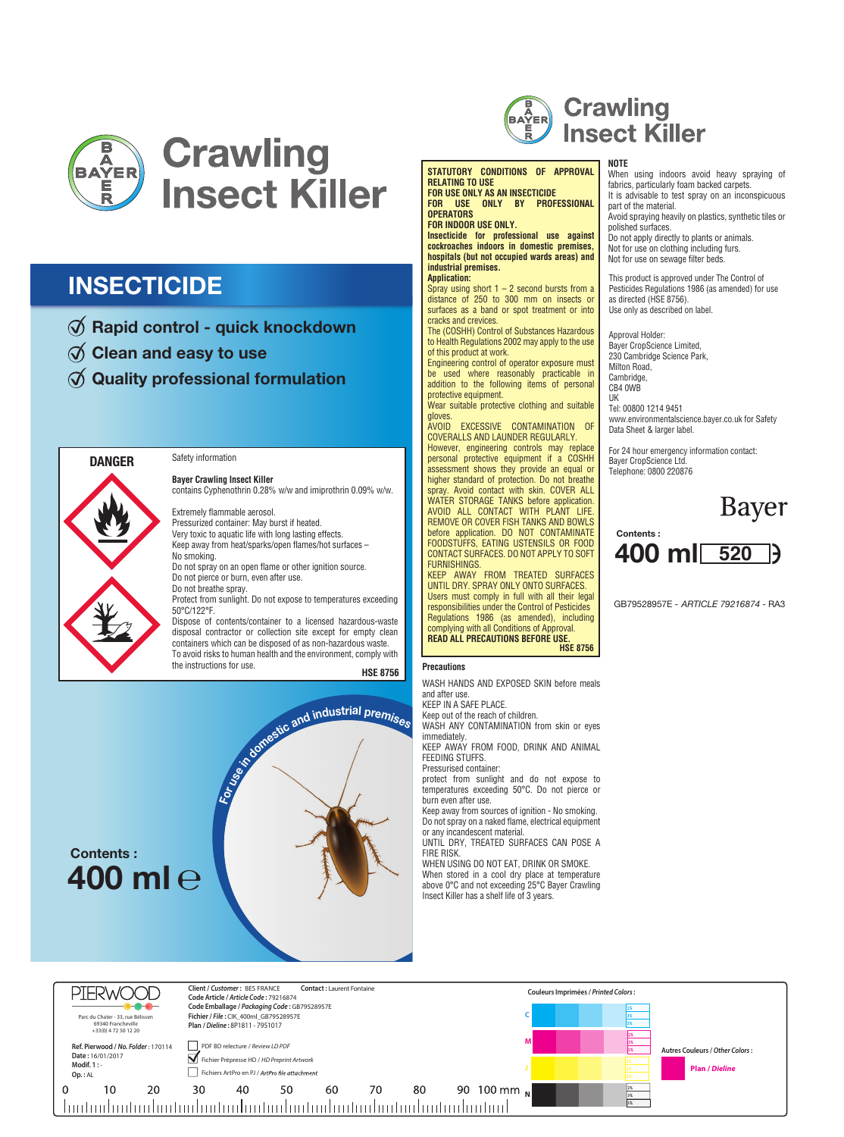

### **INSECTICIDE**

- $\emptyset$  Rapid control quick knockdown
- $\varnothing$  Clean and easy to use
- $\emptyset$  Quality professional formulation



#### Safety information

**Bayer Crawling Insect Killer** contains Cyphenothrin 0.28% w/w and imiprothrin 0.09% w/w.

Extremely flammable aerosol. Pressurized container: May burst if heated. Very toxic to aquatic life with long lasting effects. Keep away from heat/sparks/open flames/hot surfaces – No smoking.

Do not spray on an open flame or other ignition source. Do not pierce or burn, even after use. Do not breathe spray.

Protect from sunlight. Do not expose to temperatures exceeding 50°C/122°F.

**HSE 8756** the instructions for use. **Precautions** Dispose of contents/container to a licensed hazardous-waste disposal contractor or collection site except for empty clean containers which can be disposed of as non-hazardous waste. To avoid risks to human health and the environment, comply with





#### **STATUTORY CONDITIONS OF APPROVAL RELATING TO USE FOR USE ONLY AS AN INSECTICIDE**

**FOR USE ONLY BY PROFESSIONAL OPERATORS FOR INDOOR USE ONLY.**

**Insecticide for professional use against** 

**cockroaches indoors in domestic premises, hospitals (but not occupied wards areas) and industrial premises. Application:** 

Spray using short  $1 - 2$  second bursts from a distance of 250 to 300 mm on insects or surfaces as a band or spot treatment or into cracks and crevices.

The (COSHH) Control of Substances Hazardous to Health Regulations 2002 may apply to the use of this product at work.

Engineering control of operator exposure must be used where reasonably practicable in addition to the following items of personal protective equipment.

Wear suitable protective clothing and suitable gloves.

AVOID EXCESSIVE CONTAMINATION OF COVERALLS AND LAUNDER REGULARLY.

However, engineering controls may replace personal protective equipment if a COSHH assessment shows they provide an equal or higher standard of protection. Do not breathe spray. Avoid contact with skin. COVER ALL WATER STORAGE TANKS before application. AVOID ALL CONTACT WITH PLANT LIFE. REMOVE OR COVER FISH TANKS AND BOWLS before application. DO NOT CONTAMINATE FOODSTUFFS, EATING USTENSILS OR FOOD CONTACT SURFACES. DO NOT APPLY TO SOFT FURNISHINGS.

**HSE 8756** KEEP AWAY FROM TREATED SURFACES UNTIL DRY. SPRAY ONLY ONTO SURFACES. Users must comply in full with all their legal responsibilities under the Control of Pesticides Regulations 1986 (as amended), including complying with all Conditions of Approval. **READ ALL PRECAUTIONS BEFORE USE.** 

WASH HANDS AND EXPOSED SKIN before meals and after use. KEEP IN A SAFE PLACE.

Keep out of the reach of children.

WASH ANY CONTAMINATION from skin or eyes immediately.

KEEP AWAY FROM FOOD, DRINK AND ANIMAL FEEDING STUFFS.

Pressurised container:

protect from sunlight and do not expose to temperatures exceeding 50°C. Do not pierce or burn even after use.

Keep away from sources of ignition - No smoking. Do not spray on a naked flame, electrical equipment or any incandescent material.

UNTIL DRY, TREATED SURFACES CAN POSE A FIRE RISK.

WHEN USING DO NOT EAT, DRINK OR SMOKE.

When stored in a cool dry place at temperature above 0°C and not exceeding 25°C Bayer Crawling Insect Killer has a shelf life of 3 years.

#### **NOTE**

This product is approved under The Control of Pesticides Regulations 1986 (as amended) for use as directed (HSE 8756). Use only as described on label. When using indoors avoid heavy spraying of fabrics, particularly foam backed carpets. It is advisable to test spray on an inconspicuous part of the material. Avoid spraying heavily on plastics, synthetic tiles or polished surfaces. Do not apply directly to plants or animals. Not for use on clothing including furs. Not for use on sewage filter beds.

Approval Holder: Bayer CropScience Limited, 230 Cambridge Science Park, Milton Road, Cambridge CB4 0WB UK Tel: 00800 1214 9451 www.environmentalscience.bayer.co.uk for Safety Data Sheet & larger label.

For 24 hour emergency information contact: Bayer CropScience Ltd. Telephone: 0800 220876





GB79528957E - *ARTICLE 79216874* - RA3